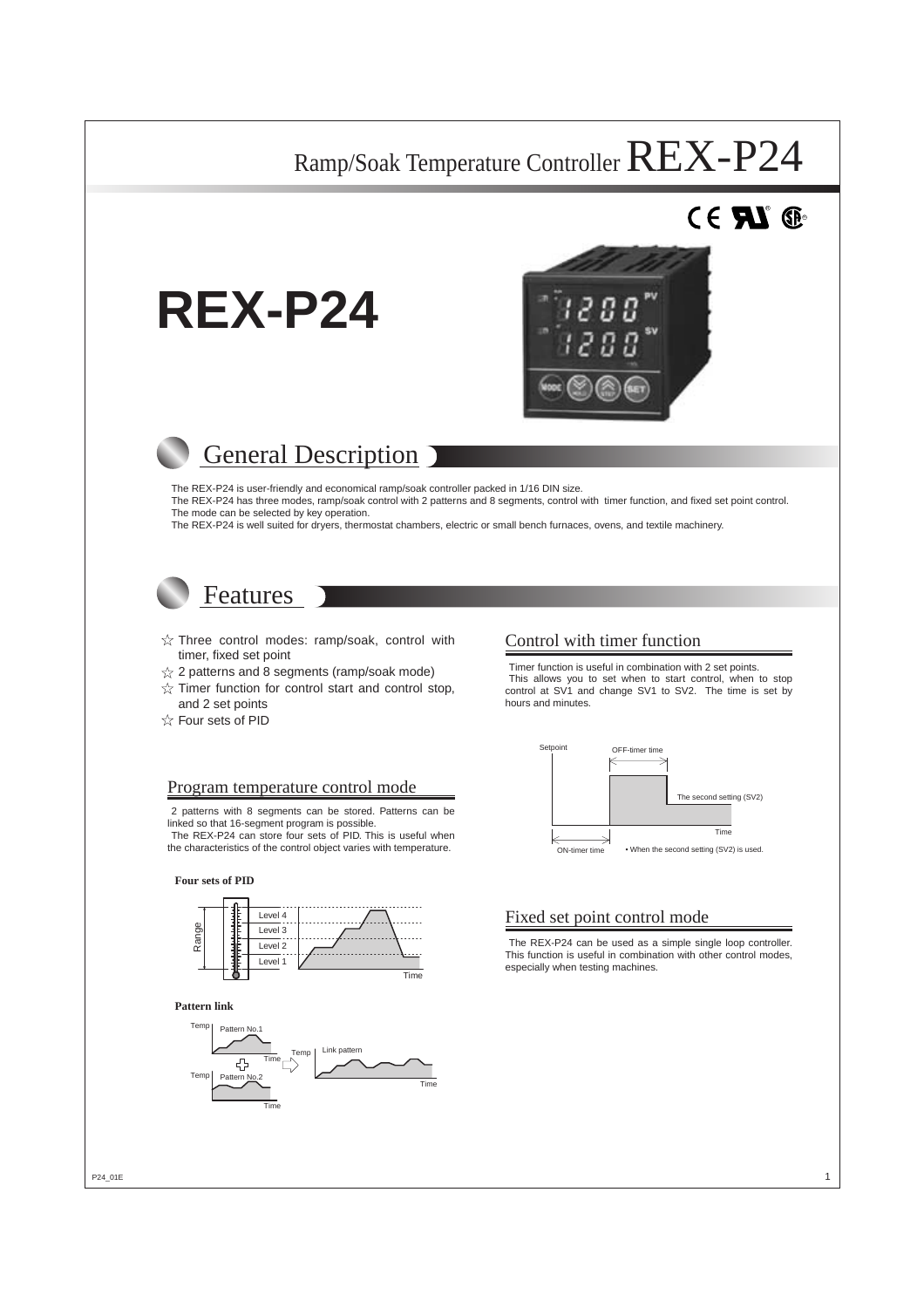# $^{\circ}$  G





## General Description

The REX-P24 is user-friendly and economical ramp/soak controller packed in 1/16 DIN size. The REX-P24 has three modes, ramp/soak control with 2 patterns and 8 segments, control with timer function, and fixed set point control. The mode can be selected by key operation.

The REX-P24 is well suited for dryers, thermostat chambers, electric or small bench furnaces, ovens, and textile machinery.

### Features

- $\hat{\mathbb{X}}$  Three control modes: ramp/soak, control with timer, fixed set point
- $\frac{1}{2}$  2 patterns and 8 segments (ramp/soak mode)
- $\sqrt{\chi}$  Timer function for control start and control stop, and 2 set points
- $\hat{\mathbb{X}}$  Four sets of PID

#### Control with timer function

Setpoint

Timer function is useful in combination with 2 set points. This allows you to set when to start control, when to stop control at SV1 and change SV1 to SV2. The time is set by hours and minutes.

The second setting (SV2)

Time

• When the second setting (SV2) is used.

OFF-timer time

#### Program temperature control mode

2 patterns with 8 segments can be stored. Patterns can be linked so that 16-segment program is possible.

The REX-P24 can store four sets of PID. This is useful when the characteristics of the control object varies with temperature.

#### **Four sets of PID**



#### **Pattern link**



#### Fixed set point control mode

ON-timer time

The REX-P24 can be used as a simple single loop controller. This function is useful in combination with other control modes, especially when testing machines.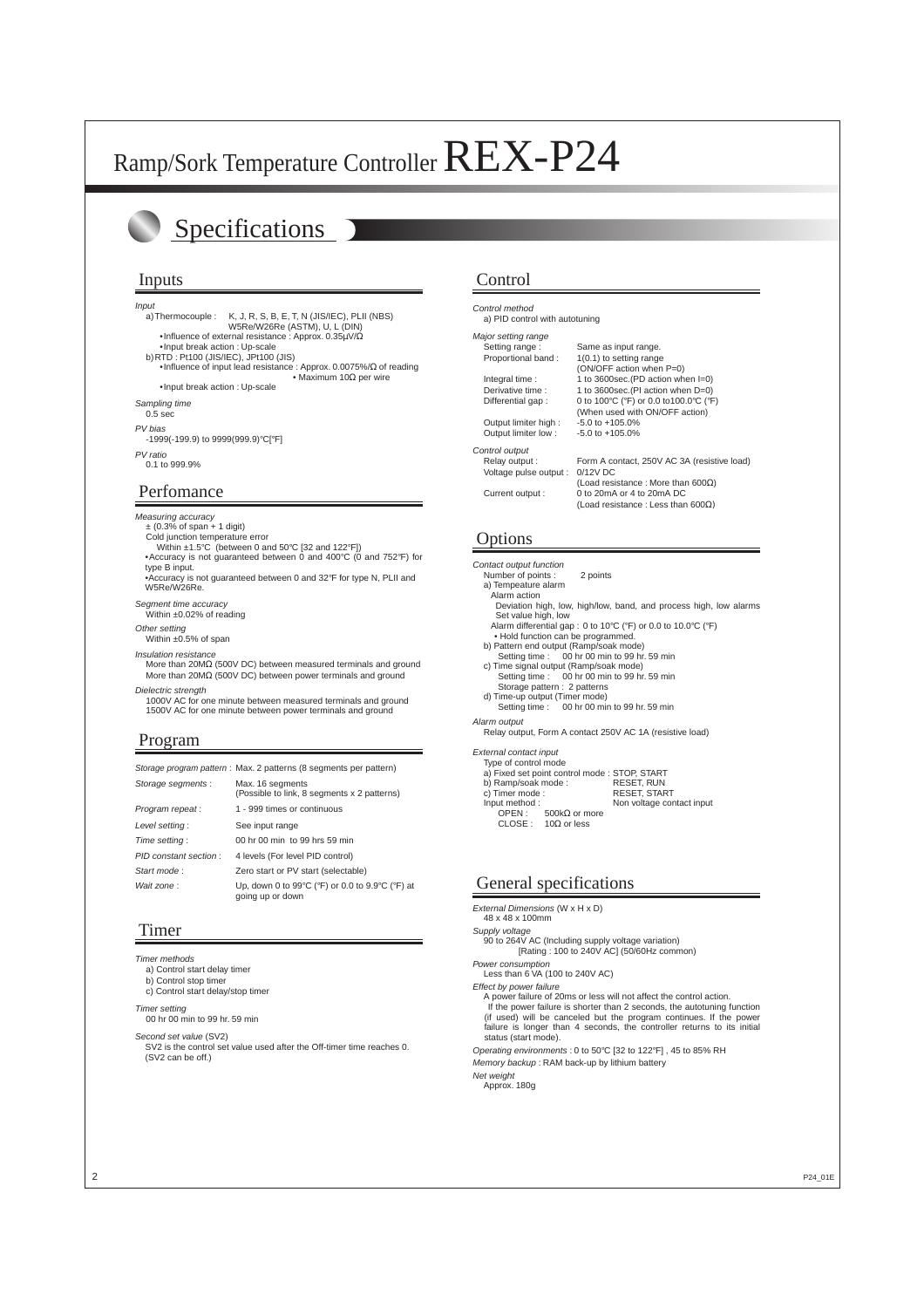## Specifications

#### Inputs

Input

a) Thermocouple : K, J, R, S, B, E, T, N (JIS/IEC), PLII (NBS) W5Re/W26Re (ASTM), U, L (DIN) •Influence of external resistance : Approx. 0.35µV/Ω

•Input break action : Up-scale

- b) RTD : Pt100 (JIS/IEC), JPt100 (JIS)
	- •Influence of input lead resistance : Approx. 0.0075%/ $\Omega$  of reading • Maximum 10Ω per wire

•Input break action : Up-scale

Sampling time

0.5 sec

PV bias -1999(-199.9) to 9999(999.9)°C[°F]

PV ratio 0.1 to 999.9%

Perfomance

#### Measuring accuracy

 $\pm$  (0.3% of span  $\pm$  1 digit)

- Cold junction temperature error
- Within ±1.5°C (between 0 and 50°C [32 and 122°F]) •Accuracy is not guaranteed between 0 and 400°C (0 and 752°F) for type B input.
- •Accuracy is not guaranteed between 0 and 32°F for type N, PLII and W5Re/W26Re.

Segment time accuracy

Within ±0.02% of reading

Other setting

Within ±0.5% of span Insulation resistance

More than 20MΩ (500V DC) between measured terminals and ground More than 20MΩ (500V DC) between power terminals and ground

Dielectric strength

1000V AC for one minute between measured terminals and ground 1500V AC for one minute between power terminals and ground

#### Program

| Storage program pattern : Max. 2 patterns (8 segments per pattern) |  |  |
|--------------------------------------------------------------------|--|--|

| Storage segments:     | Max. 16 segments<br>(Possible to link, 8 segments x 2 patterns)     |
|-----------------------|---------------------------------------------------------------------|
| Program repeat:       | 1 - 999 times or continuous                                         |
| Level setting:        | See input range                                                     |
| Time setting:         | 00 hr 00 min to 99 hrs 59 min                                       |
| PID constant section: | 4 levels (For level PID control)                                    |
| Start mode:           | Zero start or PV start (selectable)                                 |
| Wait zone:            | Up, down 0 to 99°C (°F) or 0.0 to 9.9°C (°F) at<br>going up or down |

#### Timer

Timer methods

a) Control start delay timer

b) Control stop timer c) Control start delay/stop timer

Timer setting

00 hr 00 min to 99 hr. 59 min

Second set value (SV2)

SV2 is the control set value used after the Off-timer time reaches 0. (SV2 can be off.)

#### Control

| Control method<br>a) PID control with autotuning |                                             |
|--------------------------------------------------|---------------------------------------------|
| Major setting range                              |                                             |
| Setting range:                                   | Same as input range.                        |
| Proportional band:                               | $1(0.1)$ to setting range                   |
|                                                  | (ON/OFF action when P=0)                    |
| Integral time:                                   | 1 to 3600sec. (PD action when $I=0$ )       |
| Derivative time:                                 | 1 to 3600sec. (PI action when D=0)          |
| Differential gap:                                | 0 to 100°C (°F) or 0.0 to 100.0°C (°F)      |
|                                                  | (When used with ON/OFF action)              |
| Output limiter high:                             | $-5.0$ to $+105.0%$                         |
| Output limiter low:                              | $-5.0$ to $+105.0%$                         |
| Control output                                   |                                             |
| Relay output:                                    | Form A contact, 250V AC 3A (resistive load) |
| Voltage pulse output :                           | $0/12V$ DC                                  |
|                                                  | (Load resistance: More than 600 $\Omega$ )  |
| Current output :                                 | 0 to 20mA or 4 to 20mA DC                   |
|                                                  | (Load resistance: Less than 600 $\Omega$ )  |

#### **Options**

Contact output function Number of points : 2 points a) Tempeature alarm Alarm action Deviation high, low, high/low, band, and process high, low alarms Set value high, low Alarm differential gap : 0 to 10°C (°F) or 0.0 to 10.0°C (°F) • Hold function can be programmed. b) Pattern end output (Ramp/soak mode) Setting time : 00 hr 00 min to 99 hr. 59 min c) Time signal output (Ramp/soak mode) Setting time : 00 hr 00 min to 99 hr. 59 min Storage pattern : 2 patterns d) Time-up output (Timer mode) Setting time : 00 hr 00 min to 99 hr. 59 min Alarm output Relay output, Form A contact 250V AC 1A (resistive load)

External contact input Type of control mode

| <b>IVUC OF COLITION ILIOUS</b> |                                               |                           |
|--------------------------------|-----------------------------------------------|---------------------------|
|                                | a) Fixed set point control mode : STOP, START |                           |
| b) Ramp/soak mode:             |                                               | <b>RESET, RUN</b>         |
| c) Timer mode:                 |                                               | <b>RESET, START</b>       |
| Input method:                  |                                               | Non voltage contact input |
|                                | OPEN: 500kΩ or more                           |                           |
|                                | CLOSE : $10\Omega$ or less                    |                           |
|                                |                                               |                           |

#### General specifications

External Dimensions (W x H x D)

48 x 48 x 100mm

Supply voltage

90 to 264V AC (Including supply voltage variation) [Rating : 100 to 240V AC] (50/60Hz common)

Power consumption

Less than 6 VA (100 to 240V AC)

Effect by power failure

A power failure of 20ms or less will not affect the control action. If the power failure is shorter than 2 seconds, the autotuning function (if used) will be canceled but the program continues. If the power failure is longer than 4 seconds, the controller returns to its initial status (start mode).

Operating environments : 0 to 50°C [32 to 122°F] , 45 to 85% RH

Memory backup : RAM back-up by lithium battery

Net weight

Approx. 180g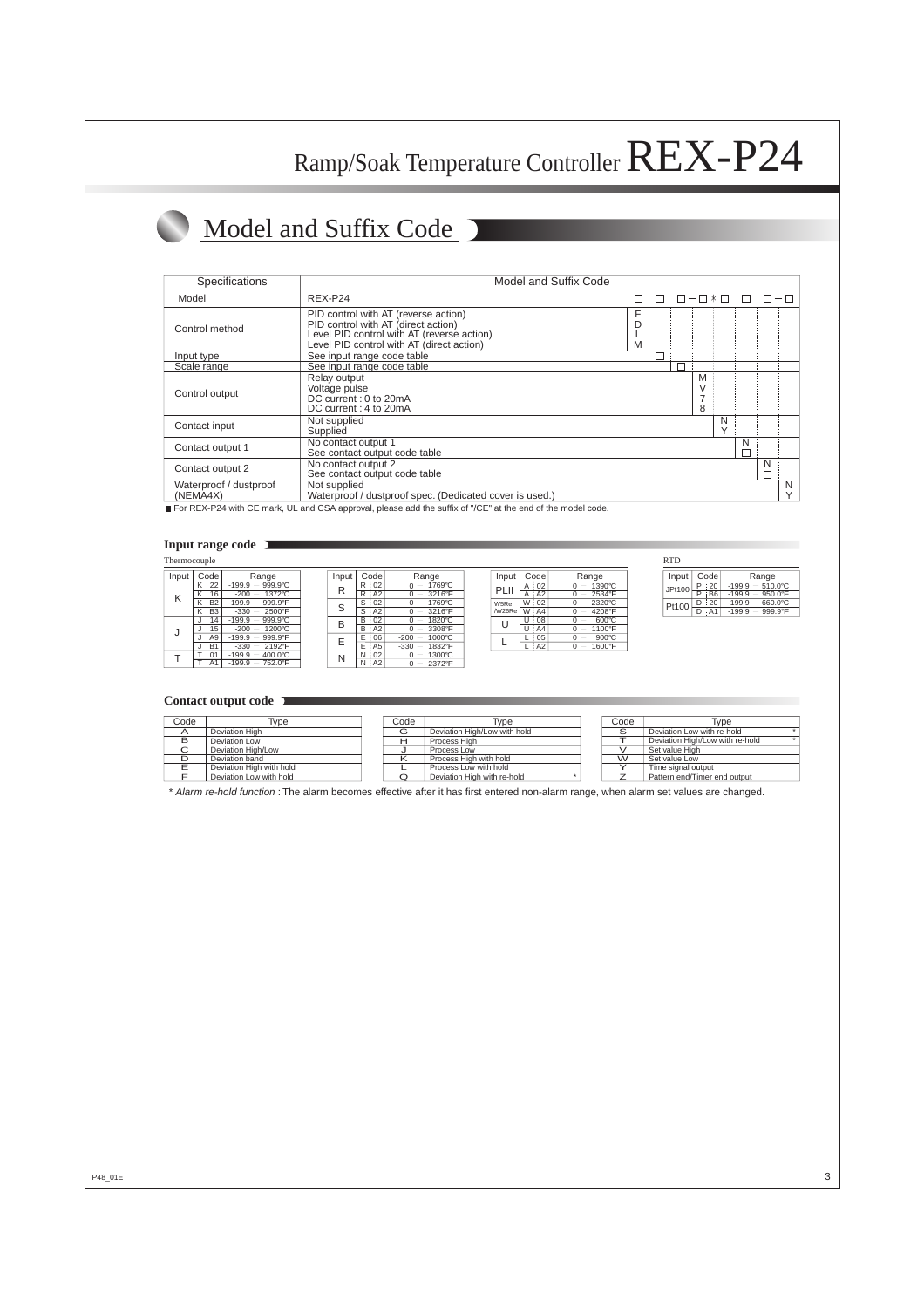# Model and Suffix Code

| Specifications                     | Model and Suffix Code                                                                                                                                                  |        |  |        |                   |   |   |   |
|------------------------------------|------------------------------------------------------------------------------------------------------------------------------------------------------------------------|--------|--|--------|-------------------|---|---|---|
| Model                              | REX-P24                                                                                                                                                                |        |  |        |                   |   |   |   |
| Control method                     | PID control with AT (reverse action)<br>PID control with AT (direct action)<br>Level PID control with AT (reverse action)<br>Level PID control with AT (direct action) | F<br>M |  |        |                   |   |   |   |
| Input type                         | See input range code table                                                                                                                                             |        |  |        |                   |   |   |   |
| Scale range                        | See input range code table                                                                                                                                             |        |  |        |                   |   |   |   |
| Control output                     | Relay output<br>Voltage pulse<br>DC current: 0 to 20mA<br>DC current: 4 to 20mA                                                                                        |        |  | M<br>8 |                   |   |   |   |
| Contact input                      | Not supplied<br>Supplied                                                                                                                                               |        |  |        | N<br>$\checkmark$ |   |   |   |
| Contact output 1                   | No contact output 1<br>See contact output code table                                                                                                                   |        |  |        |                   | N |   |   |
| Contact output 2                   | No contact output 2<br>See contact output code table                                                                                                                   |        |  |        |                   |   | N |   |
| Waterproof / dustproof<br>(NEMA4X) | Not supplied<br>Waterproof / dustproof spec. (Dedicated cover is used.)                                                                                                |        |  |        |                   |   |   | N |

For REX-P24 with CE mark, UL and CSA approval, please add the suffix of "/CE" at the end of the model code.

#### **Input range code**

| Thermocouple |                      |                                                     |        |           |                    |        |          |                                                    | <b>RTD</b> |
|--------------|----------------------|-----------------------------------------------------|--------|-----------|--------------------|--------|----------|----------------------------------------------------|------------|
| Input        | Code                 | Range                                               | Input  | Code      | Range              | Input  | Code     | Range                                              | Inp        |
|              | K 22                 | 999.9°C<br>$-199.9$                                 | R      | R:02      | 1769°C<br>ი —      | PLII   | A:02     | 1390°C<br>$0 -$                                    | JPt1       |
| Κ            | K:16                 | 1372°C<br>$-200$<br>$\hspace{0.1mm}-\hspace{0.1mm}$ |        | $R$ : A2  | 3216°F<br>$0 -$    |        | AA2<br>A | 2534°F<br>$\hspace{0.1mm}-\hspace{0.1mm}$          |            |
|              | $K$ : B <sub>2</sub> | $-199.9 -$<br>999.9°F                               | $\sim$ | S:02      | 1769°C             | W5Re   | W:02     | 2320°C<br>$\overline{\phantom{a}}$                 | Pt1        |
|              | $K$ $B3$             | 2500°F<br>$-330$<br>$\overline{\phantom{0}}$        | ت      | $S$ $A2$  | 3216°F             | /W26Re | W:AA     | 4208°F<br>$\overline{\phantom{a}}$                 |            |
|              | $J \nmid 14$         | 999.9°C<br>$-199.9$<br>$\overline{\phantom{a}}$     | в      | B:02      | 1820°C<br>$0 -$    | J      | U:08     | $600^{\circ}$ C<br>$\hspace{0.1mm}-\hspace{0.1mm}$ |            |
|              | $\frac{1}{15}$       | 1200°C<br>$-200$<br>$\hspace{0.1mm}-\hspace{0.1mm}$ |        | $B$ $A2$  | 3308°F<br>ი —      |        | AA<br>U  | 1100°F<br>$\overline{\phantom{a}}$                 |            |
| J            | : A9                 | 999.9°F<br>$-199.9$                                 | -      | E:06      | 1000°C<br>$-200$   |        | :05      | $900^{\circ}$ C<br>$\overline{\phantom{a}}$        |            |
|              | ∴B1                  | 2192°F<br>$-330$<br>$\qquad \qquad$                 |        | $E$ : A5  | $-330 -$<br>1832°F |        | AA2      | 1600°F<br>$\overline{\phantom{a}}$                 |            |
|              | : 01                 | 400.0°C<br>$-199.9 -$                               |        | N:02      | 1300°C<br>ი —      |        |          |                                                    |            |
|              | T : A1               | 752.0°F<br>$-199.9 -$                               | Ν      | $N$ $AA2$ | 2372°F<br>$0 -$    |        |          |                                                    |            |

| Input |   | Code           | Range            |
|-------|---|----------------|------------------|
|       | R | 02             | 1769°C<br>0      |
| R     | R | : A2           | 3216°F           |
| S     | S | 02             | 1769°C           |
|       | S | AA2            | 3216°F           |
| B     | R | : 02           | 1820°C           |
|       | R | A2             | 3308°F           |
| F     | F | 06             | 1000°C<br>$-200$ |
|       |   | A <sub>5</sub> | 1832°F<br>$-330$ |
|       |   | 02             | 1300°C           |
|       |   | $\Delta$       | 2372°F           |

| Input          |   | Code           | Range  |
|----------------|---|----------------|--------|
| PI II          | A | 02             | 1390°C |
|                | А | A2             | 2534°F |
| W5Re<br>/W26Re |   | 02             | 2320°C |
|                |   | A <sub>4</sub> | 4208°F |
| U              |   | 08             | 600°C  |
|                | н | A4             | 1100°F |
|                |   | 05             | 900°C  |
|                |   |                | 1600°F |
|                |   |                |        |

| <b>RTD</b> |   |                |                                |
|------------|---|----------------|--------------------------------|
| Input      |   | Code           | Range                          |
| JPt100     | P | 20             | $-510.0^{\circ}$ C<br>$-199.9$ |
|            |   | B <sub>6</sub> | $-950.0^{\circ}$ F<br>$-199.9$ |
| Pt100      | D | 20             | 660.0°C<br>$-199.9$            |
|            |   | A <sub>1</sub> | 999.9°F<br>$-199.9$            |

#### **Contact output code**

| Code   | Гуре                     | Code | Type                         | Code | Type                            |
|--------|--------------------------|------|------------------------------|------|---------------------------------|
| A      | Deviation High           | G    | Deviation High/Low with hold | ⌒    | Deviation Low with re-hold      |
| в      | Deviation Low            |      | Process High                 |      | Deviation High/Low with re-hold |
| ⌒<br>◡ | Deviation High/Low       |      | Process Low                  |      | Set value High                  |
| D      | Deviation band           |      | Process High with hold       | w    | Set value Low                   |
|        | Deviation High with hold |      | Process Low with hold        |      | Time signal output              |
|        | Deviation Low with hold  | Q    | Deviation High with re-hold  |      | Pattern end/Timer end output    |

\* Alarm re-hold function : The alarm becomes effective after it has first entered non-alarm range, when alarm set values are changed.